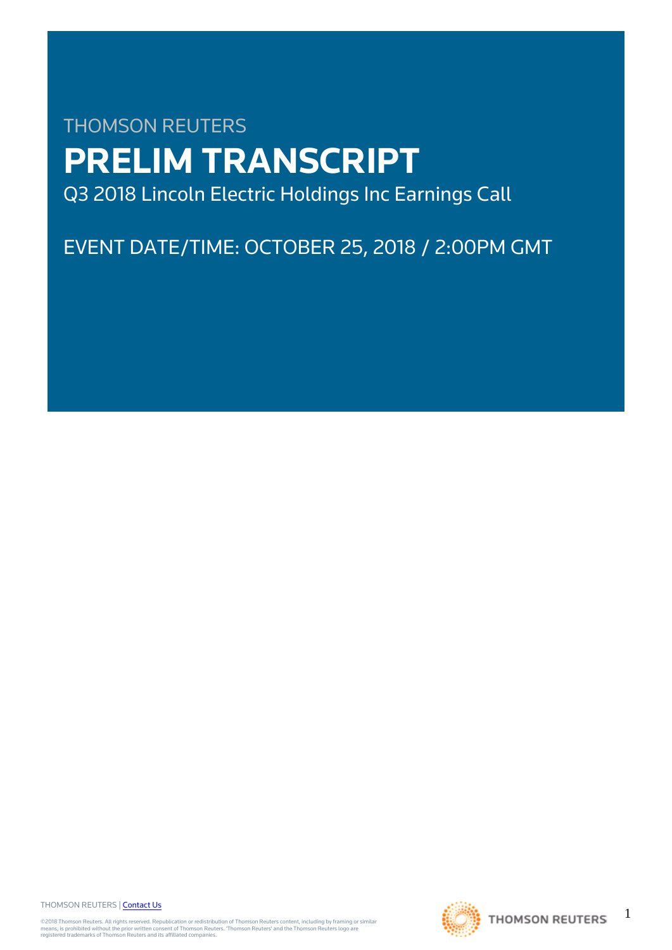# THOMSON REUTERS **PRELIM TRANSCRIPT** Q3 2018 Lincoln Electric Holdings Inc Earnings Call

EVENT DATE/TIME: OCTOBER 25, 2018 / 2:00PM GMT

THOMSON REUTERS | [Contact Us](https://my.thomsonreuters.com/ContactUsNew)

©2018 Thomson Reuters. All rights reserved. Republication or redistribution of Thomson Reuters content, including by framing or similar<br>means, is prohibited without the prior written consent of Thomson Reuters. "Thomson Re



1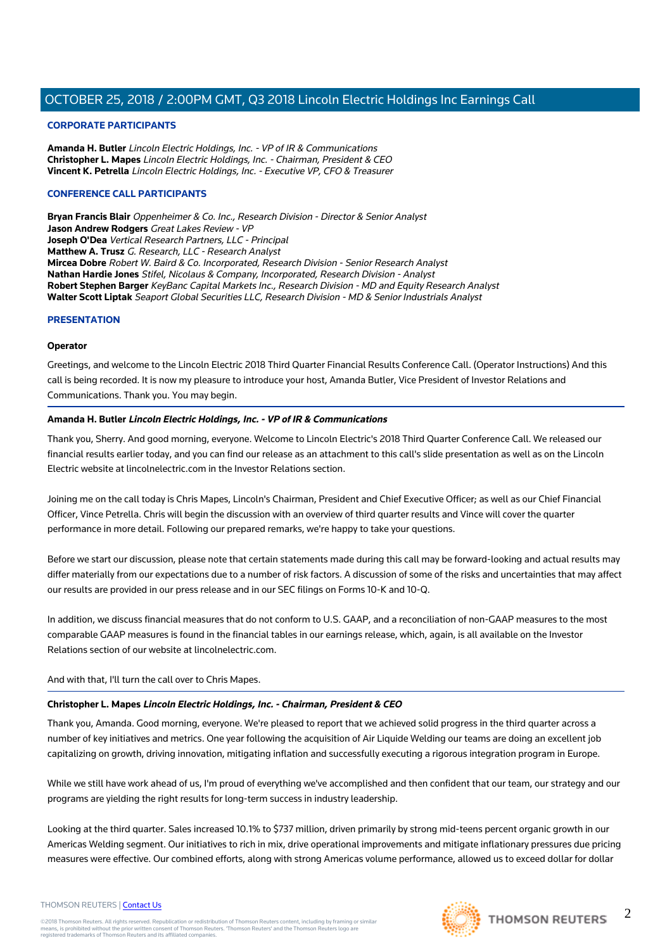## **CORPORATE PARTICIPANTS**

**Amanda H. Butler** Lincoln Electric Holdings, Inc. - VP of IR & Communications **Christopher L. Mapes** Lincoln Electric Holdings, Inc. - Chairman, President & CEO **Vincent K. Petrella** Lincoln Electric Holdings, Inc. - Executive VP, CFO & Treasurer

## **CONFERENCE CALL PARTICIPANTS**

**Bryan Francis Blair** Oppenheimer & Co. Inc., Research Division - Director & Senior Analyst **Jason Andrew Rodgers** Great Lakes Review - VP **Joseph O'Dea** Vertical Research Partners, LLC - Principal **Matthew A. Trusz** G. Research, LLC - Research Analyst **Mircea Dobre** Robert W. Baird & Co. Incorporated, Research Division - Senior Research Analyst **Nathan Hardie Jones** Stifel, Nicolaus & Company, Incorporated, Research Division - Analyst **Robert Stephen Barger** KeyBanc Capital Markets Inc., Research Division - MD and Equity Research Analyst **Walter Scott Liptak** Seaport Global Securities LLC, Research Division - MD & Senior Industrials Analyst

## **PRESENTATION**

## **Operator**

Greetings, and welcome to the Lincoln Electric 2018 Third Quarter Financial Results Conference Call. (Operator Instructions) And this call is being recorded. It is now my pleasure to introduce your host, Amanda Butler, Vice President of Investor Relations and Communications. Thank you. You may begin.

## **Amanda H. Butler Lincoln Electric Holdings, Inc. - VP of IR & Communications**

Thank you, Sherry. And good morning, everyone. Welcome to Lincoln Electric's 2018 Third Quarter Conference Call. We released our financial results earlier today, and you can find our release as an attachment to this call's slide presentation as well as on the Lincoln Electric website at lincolnelectric.com in the Investor Relations section.

Joining me on the call today is Chris Mapes, Lincoln's Chairman, President and Chief Executive Officer; as well as our Chief Financial Officer, Vince Petrella. Chris will begin the discussion with an overview of third quarter results and Vince will cover the quarter performance in more detail. Following our prepared remarks, we're happy to take your questions.

Before we start our discussion, please note that certain statements made during this call may be forward-looking and actual results may differ materially from our expectations due to a number of risk factors. A discussion of some of the risks and uncertainties that may affect our results are provided in our press release and in our SEC filings on Forms 10-K and 10-Q.

In addition, we discuss financial measures that do not conform to U.S. GAAP, and a reconciliation of non-GAAP measures to the most comparable GAAP measures is found in the financial tables in our earnings release, which, again, is all available on the Investor Relations section of our website at lincolnelectric.com.

## And with that, I'll turn the call over to Chris Mapes.

## **Christopher L. Mapes Lincoln Electric Holdings, Inc. - Chairman, President & CEO**

Thank you, Amanda. Good morning, everyone. We're pleased to report that we achieved solid progress in the third quarter across a number of key initiatives and metrics. One year following the acquisition of Air Liquide Welding our teams are doing an excellent job capitalizing on growth, driving innovation, mitigating inflation and successfully executing a rigorous integration program in Europe.

While we still have work ahead of us, I'm proud of everything we've accomplished and then confident that our team, our strategy and our programs are yielding the right results for long-term success in industry leadership.

Looking at the third quarter. Sales increased 10.1% to \$737 million, driven primarily by strong mid-teens percent organic growth in our Americas Welding segment. Our initiatives to rich in mix, drive operational improvements and mitigate inflationary pressures due pricing measures were effective. Our combined efforts, along with strong Americas volume performance, allowed us to exceed dollar for dollar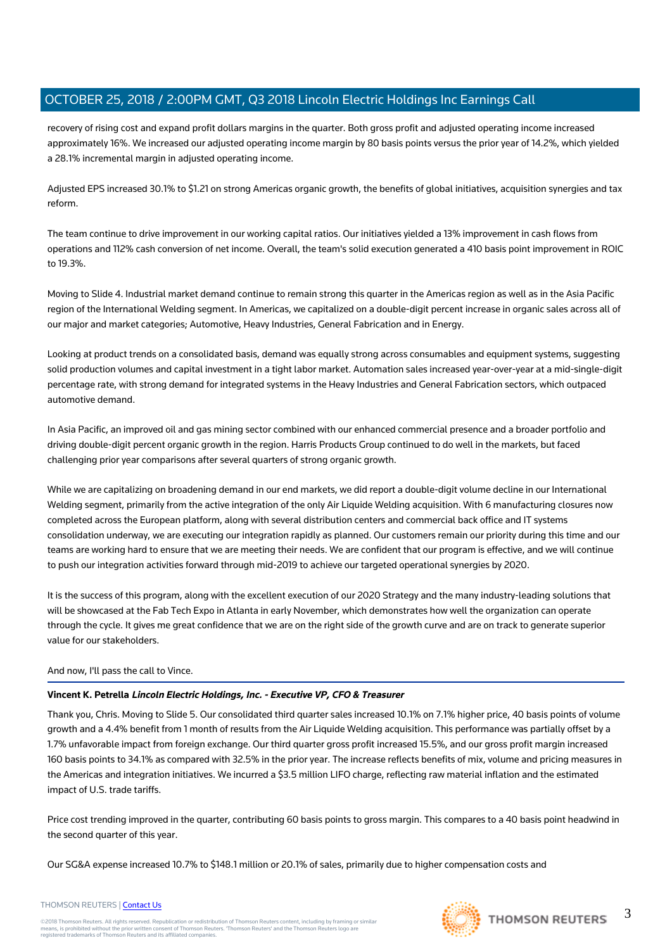recovery of rising cost and expand profit dollars margins in the quarter. Both gross profit and adjusted operating income increased approximately 16%. We increased our adjusted operating income margin by 80 basis points versus the prior year of 14.2%, which yielded a 28.1% incremental margin in adjusted operating income.

Adjusted EPS increased 30.1% to \$1.21 on strong Americas organic growth, the benefits of global initiatives, acquisition synergies and tax reform.

The team continue to drive improvement in our working capital ratios. Our initiatives yielded a 13% improvement in cash flows from operations and 112% cash conversion of net income. Overall, the team's solid execution generated a 410 basis point improvement in ROIC to 19.3%.

Moving to Slide 4. Industrial market demand continue to remain strong this quarter in the Americas region as well as in the Asia Pacific region of the International Welding segment. In Americas, we capitalized on a double-digit percent increase in organic sales across all of our major and market categories; Automotive, Heavy Industries, General Fabrication and in Energy.

Looking at product trends on a consolidated basis, demand was equally strong across consumables and equipment systems, suggesting solid production volumes and capital investment in a tight labor market. Automation sales increased year-over-year at a mid-single-digit percentage rate, with strong demand for integrated systems in the Heavy Industries and General Fabrication sectors, which outpaced automotive demand.

In Asia Pacific, an improved oil and gas mining sector combined with our enhanced commercial presence and a broader portfolio and driving double-digit percent organic growth in the region. Harris Products Group continued to do well in the markets, but faced challenging prior year comparisons after several quarters of strong organic growth.

While we are capitalizing on broadening demand in our end markets, we did report a double-digit volume decline in our International Welding segment, primarily from the active integration of the only Air Liquide Welding acquisition. With 6 manufacturing closures now completed across the European platform, along with several distribution centers and commercial back office and IT systems consolidation underway, we are executing our integration rapidly as planned. Our customers remain our priority during this time and our teams are working hard to ensure that we are meeting their needs. We are confident that our program is effective, and we will continue to push our integration activities forward through mid-2019 to achieve our targeted operational synergies by 2020.

It is the success of this program, along with the excellent execution of our 2020 Strategy and the many industry-leading solutions that will be showcased at the Fab Tech Expo in Atlanta in early November, which demonstrates how well the organization can operate through the cycle. It gives me great confidence that we are on the right side of the growth curve and are on track to generate superior value for our stakeholders.

## And now, I'll pass the call to Vince.

# **Vincent K. Petrella Lincoln Electric Holdings, Inc. - Executive VP, CFO & Treasurer**

Thank you, Chris. Moving to Slide 5. Our consolidated third quarter sales increased 10.1% on 7.1% higher price, 40 basis points of volume growth and a 4.4% benefit from 1 month of results from the Air Liquide Welding acquisition. This performance was partially offset by a 1.7% unfavorable impact from foreign exchange. Our third quarter gross profit increased 15.5%, and our gross profit margin increased 160 basis points to 34.1% as compared with 32.5% in the prior year. The increase reflects benefits of mix, volume and pricing measures in the Americas and integration initiatives. We incurred a \$3.5 million LIFO charge, reflecting raw material inflation and the estimated impact of U.S. trade tariffs.

Price cost trending improved in the quarter, contributing 60 basis points to gross margin. This compares to a 40 basis point headwind in the second quarter of this year.

Our SG&A expense increased 10.7% to \$148.1 million or 20.1% of sales, primarily due to higher compensation costs and



## THOMSON REUTERS | [Contact Us](https://my.thomsonreuters.com/ContactUsNew)

©2018 Thomson Reuters. All rights reserved. Republication or redistribution of Thomson Reuters content, including by framing or similar<br>means, is prohibited without the prior written consent of Thomson Reuters. "Thomson Re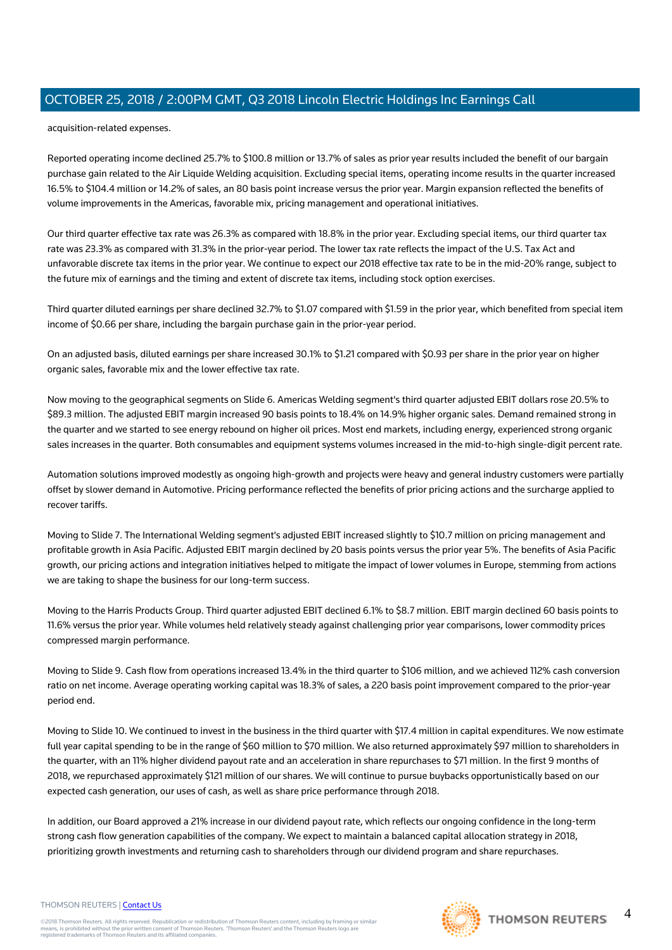acquisition-related expenses.

Reported operating income declined 25.7% to \$100.8 million or 13.7% of sales as prior year results included the benefit of our bargain purchase gain related to the Air Liquide Welding acquisition. Excluding special items, operating income results in the quarter increased 16.5% to \$104.4 million or 14.2% of sales, an 80 basis point increase versus the prior year. Margin expansion reflected the benefits of volume improvements in the Americas, favorable mix, pricing management and operational initiatives.

Our third quarter effective tax rate was 26.3% as compared with 18.8% in the prior year. Excluding special items, our third quarter tax rate was 23.3% as compared with 31.3% in the prior-year period. The lower tax rate reflects the impact of the U.S. Tax Act and unfavorable discrete tax items in the prior year. We continue to expect our 2018 effective tax rate to be in the mid-20% range, subject to the future mix of earnings and the timing and extent of discrete tax items, including stock option exercises.

Third quarter diluted earnings per share declined 32.7% to \$1.07 compared with \$1.59 in the prior year, which benefited from special item income of \$0.66 per share, including the bargain purchase gain in the prior-year period.

On an adjusted basis, diluted earnings per share increased 30.1% to \$1.21 compared with \$0.93 per share in the prior year on higher organic sales, favorable mix and the lower effective tax rate.

Now moving to the geographical segments on Slide 6. Americas Welding segment's third quarter adjusted EBIT dollars rose 20.5% to \$89.3 million. The adjusted EBIT margin increased 90 basis points to 18.4% on 14.9% higher organic sales. Demand remained strong in the quarter and we started to see energy rebound on higher oil prices. Most end markets, including energy, experienced strong organic sales increases in the quarter. Both consumables and equipment systems volumes increased in the mid-to-high single-digit percent rate.

Automation solutions improved modestly as ongoing high-growth and projects were heavy and general industry customers were partially offset by slower demand in Automotive. Pricing performance reflected the benefits of prior pricing actions and the surcharge applied to recover tariffs.

Moving to Slide 7. The International Welding segment's adjusted EBIT increased slightly to \$10.7 million on pricing management and profitable growth in Asia Pacific. Adjusted EBIT margin declined by 20 basis points versus the prior year 5%. The benefits of Asia Pacific growth, our pricing actions and integration initiatives helped to mitigate the impact of lower volumes in Europe, stemming from actions we are taking to shape the business for our long-term success.

Moving to the Harris Products Group. Third quarter adjusted EBIT declined 6.1% to \$8.7 million. EBIT margin declined 60 basis points to 11.6% versus the prior year. While volumes held relatively steady against challenging prior year comparisons, lower commodity prices compressed margin performance.

Moving to Slide 9. Cash flow from operations increased 13.4% in the third quarter to \$106 million, and we achieved 112% cash conversion ratio on net income. Average operating working capital was 18.3% of sales, a 220 basis point improvement compared to the prior-year period end.

Moving to Slide 10. We continued to invest in the business in the third quarter with \$17.4 million in capital expenditures. We now estimate full year capital spending to be in the range of \$60 million to \$70 million. We also returned approximately \$97 million to shareholders in the quarter, with an 11% higher dividend payout rate and an acceleration in share repurchases to \$71 million. In the first 9 months of 2018, we repurchased approximately \$121 million of our shares. We will continue to pursue buybacks opportunistically based on our expected cash generation, our uses of cash, as well as share price performance through 2018.

In addition, our Board approved a 21% increase in our dividend payout rate, which reflects our ongoing confidence in the long-term strong cash flow generation capabilities of the company. We expect to maintain a balanced capital allocation strategy in 2018, prioritizing growth investments and returning cash to shareholders through our dividend program and share repurchases.

#### THOMSON REUTERS | [Contact Us](https://my.thomsonreuters.com/ContactUsNew)

©2018 Thomson Reuters. All rights reserved. Republication or redistribution of Thomson Reuters content, including by framing or similar<br>means, is prohibited without the prior written consent of Thomson Reuters. "Thomson Re

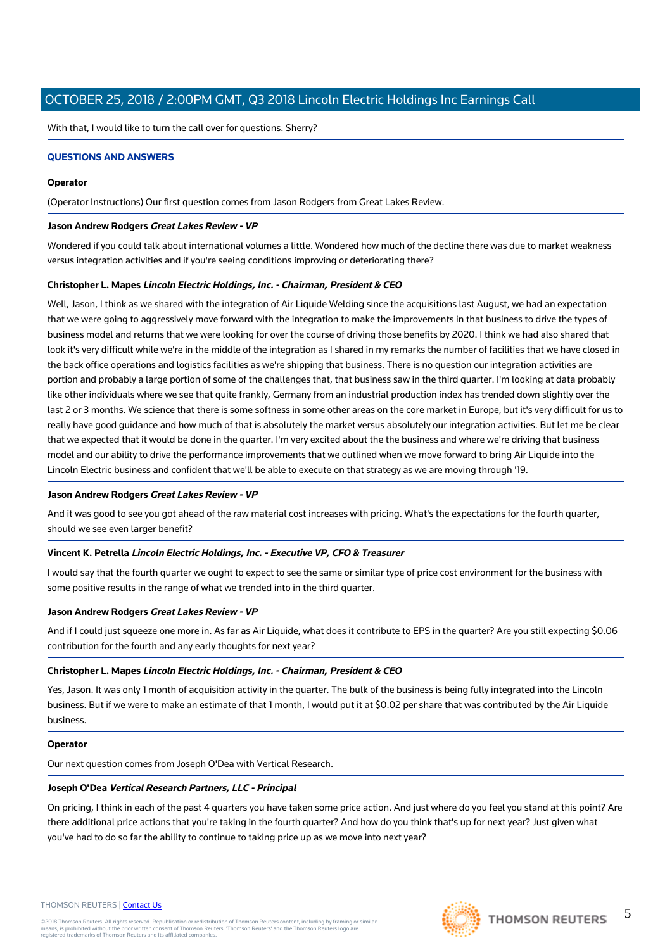With that, I would like to turn the call over for questions. Sherry?

## **QUESTIONS AND ANSWERS**

#### **Operator**

(Operator Instructions) Our first question comes from Jason Rodgers from Great Lakes Review.

## **Jason Andrew Rodgers Great Lakes Review - VP**

Wondered if you could talk about international volumes a little. Wondered how much of the decline there was due to market weakness versus integration activities and if you're seeing conditions improving or deteriorating there?

## **Christopher L. Mapes Lincoln Electric Holdings, Inc. - Chairman, President & CEO**

Well, Jason, I think as we shared with the integration of Air Liquide Welding since the acquisitions last August, we had an expectation that we were going to aggressively move forward with the integration to make the improvements in that business to drive the types of business model and returns that we were looking for over the course of driving those benefits by 2020. I think we had also shared that look it's very difficult while we're in the middle of the integration as I shared in my remarks the number of facilities that we have closed in the back office operations and logistics facilities as we're shipping that business. There is no question our integration activities are portion and probably a large portion of some of the challenges that, that business saw in the third quarter. I'm looking at data probably like other individuals where we see that quite frankly, Germany from an industrial production index has trended down slightly over the last 2 or 3 months. We science that there is some softness in some other areas on the core market in Europe, but it's very difficult for us to really have good guidance and how much of that is absolutely the market versus absolutely our integration activities. But let me be clear that we expected that it would be done in the quarter. I'm very excited about the the business and where we're driving that business model and our ability to drive the performance improvements that we outlined when we move forward to bring Air Liquide into the Lincoln Electric business and confident that we'll be able to execute on that strategy as we are moving through '19.

## **Jason Andrew Rodgers Great Lakes Review - VP**

And it was good to see you got ahead of the raw material cost increases with pricing. What's the expectations for the fourth quarter, should we see even larger benefit?

## **Vincent K. Petrella Lincoln Electric Holdings, Inc. - Executive VP, CFO & Treasurer**

I would say that the fourth quarter we ought to expect to see the same or similar type of price cost environment for the business with some positive results in the range of what we trended into in the third quarter.

## **Jason Andrew Rodgers Great Lakes Review - VP**

And if I could just squeeze one more in. As far as Air Liquide, what does it contribute to EPS in the quarter? Are you still expecting \$0.06 contribution for the fourth and any early thoughts for next year?

## **Christopher L. Mapes Lincoln Electric Holdings, Inc. - Chairman, President & CEO**

Yes, Jason. It was only 1 month of acquisition activity in the quarter. The bulk of the business is being fully integrated into the Lincoln business. But if we were to make an estimate of that 1 month, I would put it at \$0.02 per share that was contributed by the Air Liquide business.

## **Operator**

Our next question comes from Joseph O'Dea with Vertical Research.

## **Joseph O'Dea Vertical Research Partners, LLC - Principal**

On pricing, I think in each of the past 4 quarters you have taken some price action. And just where do you feel you stand at this point? Are there additional price actions that you're taking in the fourth quarter? And how do you think that's up for next year? Just given what you've had to do so far the ability to continue to taking price up as we move into next year?





©2018 Thomson Reuters. All rights reserved. Republication or redistribution of Thomson Reuters content, including by framing or similar<br>means, is prohibited without the prior written consent of Thomson Reuters. "Thomson Re

5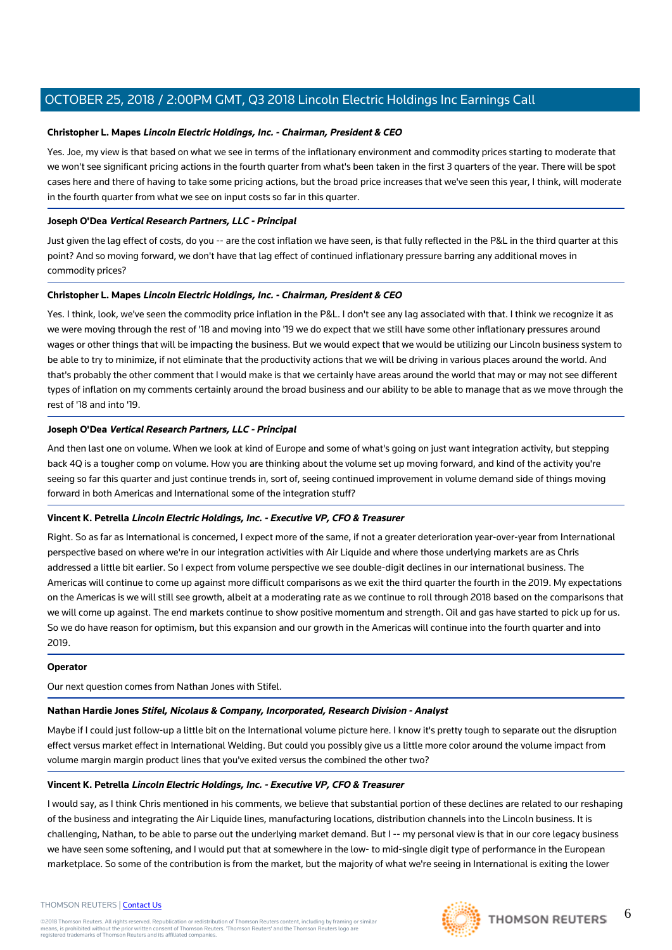## **Christopher L. Mapes Lincoln Electric Holdings, Inc. - Chairman, President & CEO**

Yes. Joe, my view is that based on what we see in terms of the inflationary environment and commodity prices starting to moderate that we won't see significant pricing actions in the fourth quarter from what's been taken in the first 3 quarters of the year. There will be spot cases here and there of having to take some pricing actions, but the broad price increases that we've seen this year, I think, will moderate in the fourth quarter from what we see on input costs so far in this quarter.

## **Joseph O'Dea Vertical Research Partners, LLC - Principal**

Just given the lag effect of costs, do you -- are the cost inflation we have seen, is that fully reflected in the P&L in the third quarter at this point? And so moving forward, we don't have that lag effect of continued inflationary pressure barring any additional moves in commodity prices?

# **Christopher L. Mapes Lincoln Electric Holdings, Inc. - Chairman, President & CEO**

Yes. I think, look, we've seen the commodity price inflation in the P&L. I don't see any lag associated with that. I think we recognize it as we were moving through the rest of '18 and moving into '19 we do expect that we still have some other inflationary pressures around wages or other things that will be impacting the business. But we would expect that we would be utilizing our Lincoln business system to be able to try to minimize, if not eliminate that the productivity actions that we will be driving in various places around the world. And that's probably the other comment that I would make is that we certainly have areas around the world that may or may not see different types of inflation on my comments certainly around the broad business and our ability to be able to manage that as we move through the rest of '18 and into '19.

# **Joseph O'Dea Vertical Research Partners, LLC - Principal**

And then last one on volume. When we look at kind of Europe and some of what's going on just want integration activity, but stepping back 4Q is a tougher comp on volume. How you are thinking about the volume set up moving forward, and kind of the activity you're seeing so far this quarter and just continue trends in, sort of, seeing continued improvement in volume demand side of things moving forward in both Americas and International some of the integration stuff?

## **Vincent K. Petrella Lincoln Electric Holdings, Inc. - Executive VP, CFO & Treasurer**

Right. So as far as International is concerned, I expect more of the same, if not a greater deterioration year-over-year from International perspective based on where we're in our integration activities with Air Liquide and where those underlying markets are as Chris addressed a little bit earlier. So I expect from volume perspective we see double-digit declines in our international business. The Americas will continue to come up against more difficult comparisons as we exit the third quarter the fourth in the 2019. My expectations on the Americas is we will still see growth, albeit at a moderating rate as we continue to roll through 2018 based on the comparisons that we will come up against. The end markets continue to show positive momentum and strength. Oil and gas have started to pick up for us. So we do have reason for optimism, but this expansion and our growth in the Americas will continue into the fourth quarter and into 2019.

## **Operator**

Our next question comes from Nathan Jones with Stifel.

## **Nathan Hardie Jones Stifel, Nicolaus & Company, Incorporated, Research Division - Analyst**

Maybe if I could just follow-up a little bit on the International volume picture here. I know it's pretty tough to separate out the disruption effect versus market effect in International Welding. But could you possibly give us a little more color around the volume impact from volume margin margin product lines that you've exited versus the combined the other two?

## **Vincent K. Petrella Lincoln Electric Holdings, Inc. - Executive VP, CFO & Treasurer**

I would say, as I think Chris mentioned in his comments, we believe that substantial portion of these declines are related to our reshaping of the business and integrating the Air Liquide lines, manufacturing locations, distribution channels into the Lincoln business. It is challenging, Nathan, to be able to parse out the underlying market demand. But I -- my personal view is that in our core legacy business we have seen some softening, and I would put that at somewhere in the low- to mid-single digit type of performance in the European marketplace. So some of the contribution is from the market, but the majority of what we're seeing in International is exiting the lower

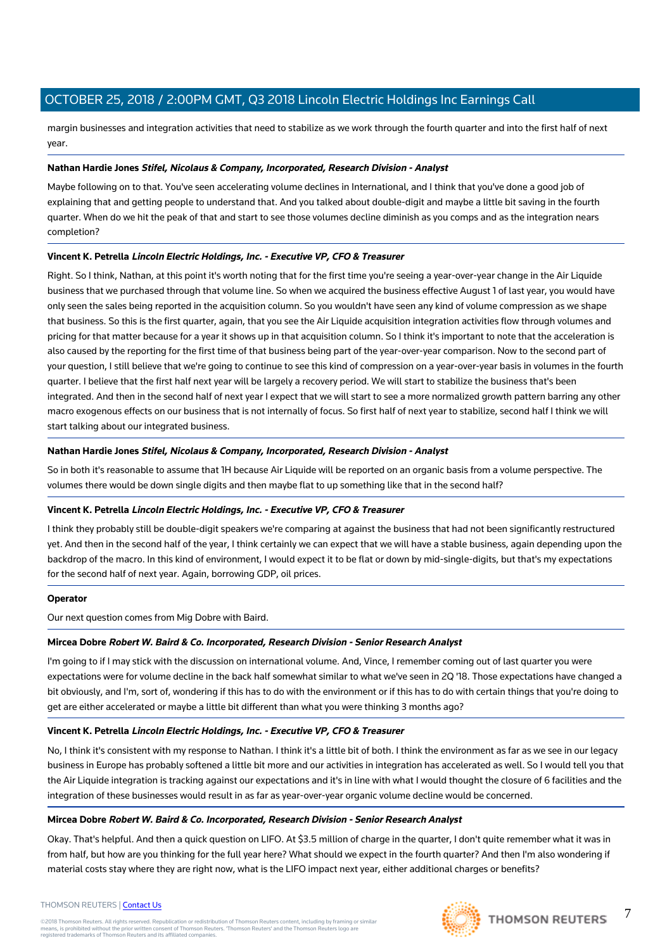margin businesses and integration activities that need to stabilize as we work through the fourth quarter and into the first half of next year.

## **Nathan Hardie Jones Stifel, Nicolaus & Company, Incorporated, Research Division - Analyst**

Maybe following on to that. You've seen accelerating volume declines in International, and I think that you've done a good job of explaining that and getting people to understand that. And you talked about double-digit and maybe a little bit saving in the fourth quarter. When do we hit the peak of that and start to see those volumes decline diminish as you comps and as the integration nears completion?

# **Vincent K. Petrella Lincoln Electric Holdings, Inc. - Executive VP, CFO & Treasurer**

Right. So I think, Nathan, at this point it's worth noting that for the first time you're seeing a year-over-year change in the Air Liquide business that we purchased through that volume line. So when we acquired the business effective August 1 of last year, you would have only seen the sales being reported in the acquisition column. So you wouldn't have seen any kind of volume compression as we shape that business. So this is the first quarter, again, that you see the Air Liquide acquisition integration activities flow through volumes and pricing for that matter because for a year it shows up in that acquisition column. So I think it's important to note that the acceleration is also caused by the reporting for the first time of that business being part of the year-over-year comparison. Now to the second part of your question, I still believe that we're going to continue to see this kind of compression on a year-over-year basis in volumes in the fourth quarter. I believe that the first half next year will be largely a recovery period. We will start to stabilize the business that's been integrated. And then in the second half of next year I expect that we will start to see a more normalized growth pattern barring any other macro exogenous effects on our business that is not internally of focus. So first half of next year to stabilize, second half I think we will start talking about our integrated business.

# **Nathan Hardie Jones Stifel, Nicolaus & Company, Incorporated, Research Division - Analyst**

So in both it's reasonable to assume that 1H because Air Liquide will be reported on an organic basis from a volume perspective. The volumes there would be down single digits and then maybe flat to up something like that in the second half?

## **Vincent K. Petrella Lincoln Electric Holdings, Inc. - Executive VP, CFO & Treasurer**

I think they probably still be double-digit speakers we're comparing at against the business that had not been significantly restructured yet. And then in the second half of the year, I think certainly we can expect that we will have a stable business, again depending upon the backdrop of the macro. In this kind of environment, I would expect it to be flat or down by mid-single-digits, but that's my expectations for the second half of next year. Again, borrowing GDP, oil prices.

## **Operator**

Our next question comes from Mig Dobre with Baird.

## **Mircea Dobre Robert W. Baird & Co. Incorporated, Research Division - Senior Research Analyst**

I'm going to if I may stick with the discussion on international volume. And, Vince, I remember coming out of last quarter you were expectations were for volume decline in the back half somewhat similar to what we've seen in 2Q '18. Those expectations have changed a bit obviously, and I'm, sort of, wondering if this has to do with the environment or if this has to do with certain things that you're doing to get are either accelerated or maybe a little bit different than what you were thinking 3 months ago?

## **Vincent K. Petrella Lincoln Electric Holdings, Inc. - Executive VP, CFO & Treasurer**

No, I think it's consistent with my response to Nathan. I think it's a little bit of both. I think the environment as far as we see in our legacy business in Europe has probably softened a little bit more and our activities in integration has accelerated as well. So I would tell you that the Air Liquide integration is tracking against our expectations and it's in line with what I would thought the closure of 6 facilities and the integration of these businesses would result in as far as year-over-year organic volume decline would be concerned.

## **Mircea Dobre Robert W. Baird & Co. Incorporated, Research Division - Senior Research Analyst**

Okay. That's helpful. And then a quick question on LIFO. At \$3.5 million of charge in the quarter, I don't quite remember what it was in from half, but how are you thinking for the full year here? What should we expect in the fourth quarter? And then I'm also wondering if material costs stay where they are right now, what is the LIFO impact next year, either additional charges or benefits?



7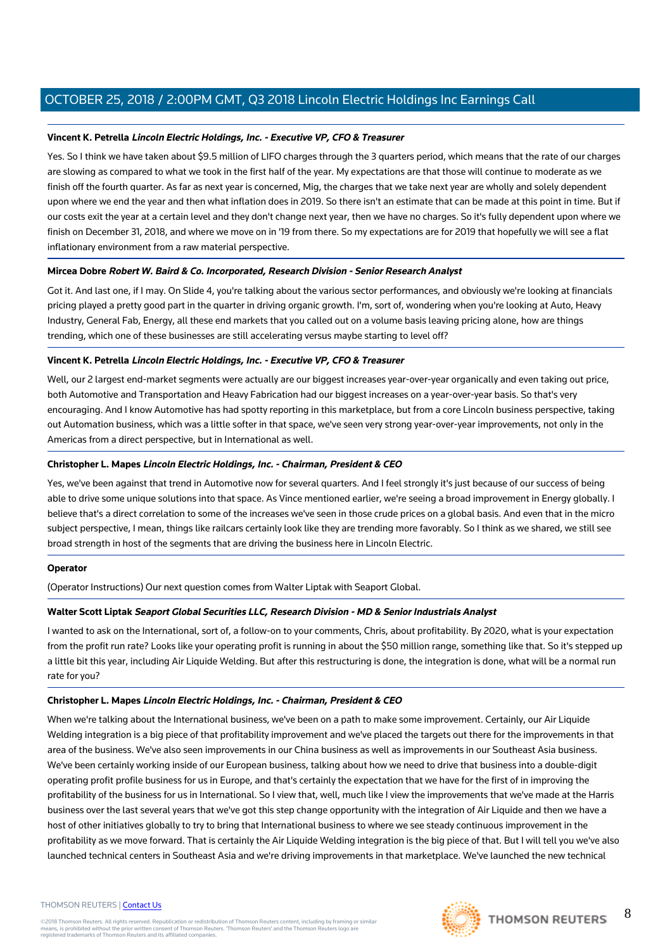## **Vincent K. Petrella Lincoln Electric Holdings, Inc. - Executive VP, CFO & Treasurer**

Yes. So I think we have taken about \$9.5 million of LIFO charges through the 3 quarters period, which means that the rate of our charges are slowing as compared to what we took in the first half of the year. My expectations are that those will continue to moderate as we finish off the fourth quarter. As far as next year is concerned, Mig, the charges that we take next year are wholly and solely dependent upon where we end the year and then what inflation does in 2019. So there isn't an estimate that can be made at this point in time. But if our costs exit the year at a certain level and they don't change next year, then we have no charges. So it's fully dependent upon where we finish on December 31, 2018, and where we move on in '19 from there. So my expectations are for 2019 that hopefully we will see a flat inflationary environment from a raw material perspective.

## **Mircea Dobre Robert W. Baird & Co. Incorporated, Research Division - Senior Research Analyst**

Got it. And last one, if I may. On Slide 4, you're talking about the various sector performances, and obviously we're looking at financials pricing played a pretty good part in the quarter in driving organic growth. I'm, sort of, wondering when you're looking at Auto, Heavy Industry, General Fab, Energy, all these end markets that you called out on a volume basis leaving pricing alone, how are things trending, which one of these businesses are still accelerating versus maybe starting to level off?

## **Vincent K. Petrella Lincoln Electric Holdings, Inc. - Executive VP, CFO & Treasurer**

Well, our 2 largest end-market segments were actually are our biggest increases year-over-year organically and even taking out price, both Automotive and Transportation and Heavy Fabrication had our biggest increases on a year-over-year basis. So that's very encouraging. And I know Automotive has had spotty reporting in this marketplace, but from a core Lincoln business perspective, taking out Automation business, which was a little softer in that space, we've seen very strong year-over-year improvements, not only in the Americas from a direct perspective, but in International as well.

# **Christopher L. Mapes Lincoln Electric Holdings, Inc. - Chairman, President & CEO**

Yes, we've been against that trend in Automotive now for several quarters. And I feel strongly it's just because of our success of being able to drive some unique solutions into that space. As Vince mentioned earlier, we're seeing a broad improvement in Energy globally. I believe that's a direct correlation to some of the increases we've seen in those crude prices on a global basis. And even that in the micro subject perspective, I mean, things like railcars certainly look like they are trending more favorably. So I think as we shared, we still see broad strength in host of the segments that are driving the business here in Lincoln Electric.

## **Operator**

(Operator Instructions) Our next question comes from Walter Liptak with Seaport Global.

# **Walter Scott Liptak Seaport Global Securities LLC, Research Division - MD & Senior Industrials Analyst**

I wanted to ask on the International, sort of, a follow-on to your comments, Chris, about profitability. By 2020, what is your expectation from the profit run rate? Looks like your operating profit is running in about the \$50 million range, something like that. So it's stepped up a little bit this year, including Air Liquide Welding. But after this restructuring is done, the integration is done, what will be a normal run rate for you?

## **Christopher L. Mapes Lincoln Electric Holdings, Inc. - Chairman, President & CEO**

When we're talking about the International business, we've been on a path to make some improvement. Certainly, our Air Liquide Welding integration is a big piece of that profitability improvement and we've placed the targets out there for the improvements in that area of the business. We've also seen improvements in our China business as well as improvements in our Southeast Asia business. We've been certainly working inside of our European business, talking about how we need to drive that business into a double-digit operating profit profile business for us in Europe, and that's certainly the expectation that we have for the first of in improving the profitability of the business for us in International. So I view that, well, much like I view the improvements that we've made at the Harris business over the last several years that we've got this step change opportunity with the integration of Air Liquide and then we have a host of other initiatives globally to try to bring that International business to where we see steady continuous improvement in the profitability as we move forward. That is certainly the Air Liquide Welding integration is the big piece of that. But I will tell you we've also launched technical centers in Southeast Asia and we're driving improvements in that marketplace. We've launched the new technical

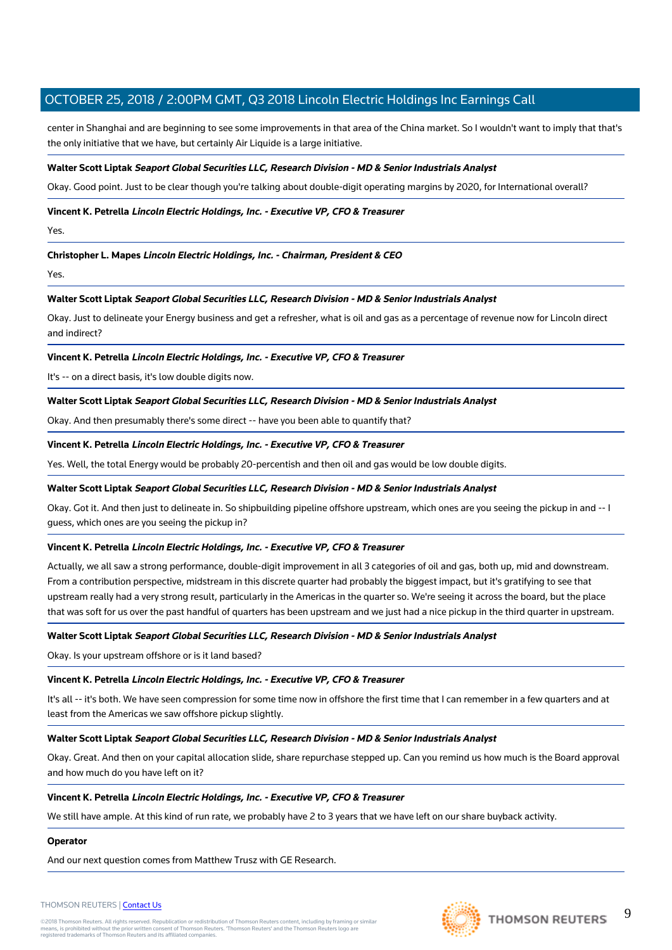center in Shanghai and are beginning to see some improvements in that area of the China market. So I wouldn't want to imply that that's the only initiative that we have, but certainly Air Liquide is a large initiative.

## **Walter Scott Liptak Seaport Global Securities LLC, Research Division - MD & Senior Industrials Analyst**

Okay. Good point. Just to be clear though you're talking about double-digit operating margins by 2020, for International overall?

## **Vincent K. Petrella Lincoln Electric Holdings, Inc. - Executive VP, CFO & Treasurer**

Yes.

# **Christopher L. Mapes Lincoln Electric Holdings, Inc. - Chairman, President & CEO**

Yes.

## **Walter Scott Liptak Seaport Global Securities LLC, Research Division - MD & Senior Industrials Analyst**

Okay. Just to delineate your Energy business and get a refresher, what is oil and gas as a percentage of revenue now for Lincoln direct and indirect?

## **Vincent K. Petrella Lincoln Electric Holdings, Inc. - Executive VP, CFO & Treasurer**

It's -- on a direct basis, it's low double digits now.

## **Walter Scott Liptak Seaport Global Securities LLC, Research Division - MD & Senior Industrials Analyst**

Okay. And then presumably there's some direct -- have you been able to quantify that?

## **Vincent K. Petrella Lincoln Electric Holdings, Inc. - Executive VP, CFO & Treasurer**

Yes. Well, the total Energy would be probably 20-percentish and then oil and gas would be low double digits.

## **Walter Scott Liptak Seaport Global Securities LLC, Research Division - MD & Senior Industrials Analyst**

Okay. Got it. And then just to delineate in. So shipbuilding pipeline offshore upstream, which ones are you seeing the pickup in and -- I guess, which ones are you seeing the pickup in?

## **Vincent K. Petrella Lincoln Electric Holdings, Inc. - Executive VP, CFO & Treasurer**

Actually, we all saw a strong performance, double-digit improvement in all 3 categories of oil and gas, both up, mid and downstream. From a contribution perspective, midstream in this discrete quarter had probably the biggest impact, but it's gratifying to see that upstream really had a very strong result, particularly in the Americas in the quarter so. We're seeing it across the board, but the place that was soft for us over the past handful of quarters has been upstream and we just had a nice pickup in the third quarter in upstream.

## **Walter Scott Liptak Seaport Global Securities LLC, Research Division - MD & Senior Industrials Analyst**

Okay. Is your upstream offshore or is it land based?

## **Vincent K. Petrella Lincoln Electric Holdings, Inc. - Executive VP, CFO & Treasurer**

It's all -- it's both. We have seen compression for some time now in offshore the first time that I can remember in a few quarters and at least from the Americas we saw offshore pickup slightly.

## **Walter Scott Liptak Seaport Global Securities LLC, Research Division - MD & Senior Industrials Analyst**

Okay. Great. And then on your capital allocation slide, share repurchase stepped up. Can you remind us how much is the Board approval and how much do you have left on it?

## **Vincent K. Petrella Lincoln Electric Holdings, Inc. - Executive VP, CFO & Treasurer**

We still have ample. At this kind of run rate, we probably have 2 to 3 years that we have left on our share buyback activity.

## **Operator**

And our next question comes from Matthew Trusz with GE Research.

## THOMSON REUTERS | [Contact Us](https://my.thomsonreuters.com/ContactUsNew)

©2018 Thomson Reuters. All rights reserved. Republication or redistribution of Thomson Reuters content, including by framing or similar<br>means, is prohibited without the prior written consent of Thomson Reuters. "Thomson Re

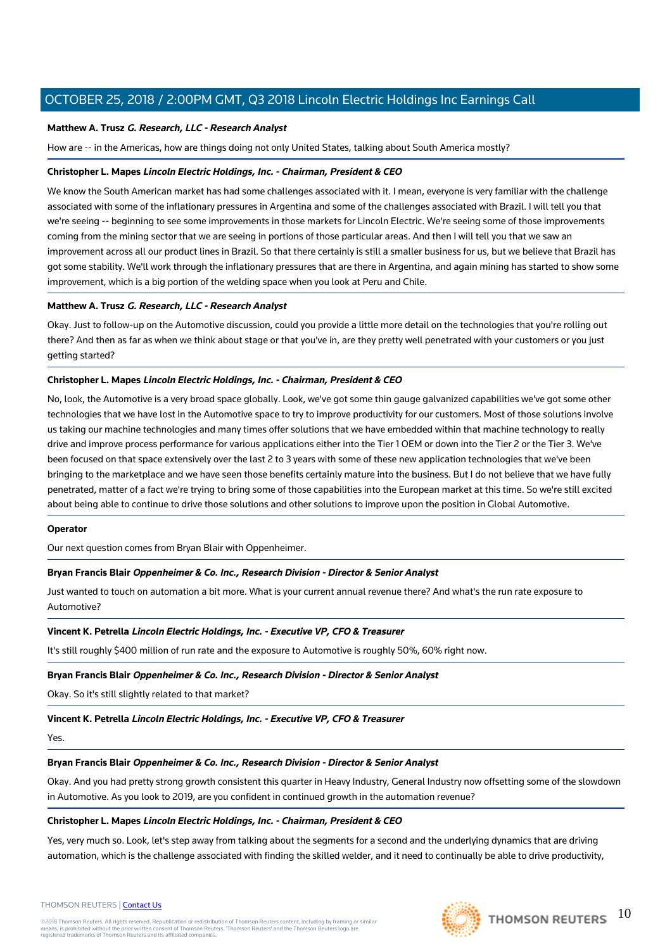## **Matthew A. Trusz G. Research, LLC - Research Analyst**

How are -- in the Americas, how are things doing not only United States, talking about South America mostly?

## **Christopher L. Mapes Lincoln Electric Holdings, Inc. - Chairman, President & CEO**

We know the South American market has had some challenges associated with it. I mean, everyone is very familiar with the challenge associated with some of the inflationary pressures in Argentina and some of the challenges associated with Brazil. I will tell you that we're seeing -- beginning to see some improvements in those markets for Lincoln Electric. We're seeing some of those improvements coming from the mining sector that we are seeing in portions of those particular areas. And then I will tell you that we saw an improvement across all our product lines in Brazil. So that there certainly is still a smaller business for us, but we believe that Brazil has got some stability. We'll work through the inflationary pressures that are there in Argentina, and again mining has started to show some improvement, which is a big portion of the welding space when you look at Peru and Chile.

## **Matthew A. Trusz G. Research, LLC - Research Analyst**

Okay. Just to follow-up on the Automotive discussion, could you provide a little more detail on the technologies that you're rolling out there? And then as far as when we think about stage or that you've in, are they pretty well penetrated with your customers or you just getting started?

## **Christopher L. Mapes Lincoln Electric Holdings, Inc. - Chairman, President & CEO**

No, look, the Automotive is a very broad space globally. Look, we've got some thin gauge galvanized capabilities we've got some other technologies that we have lost in the Automotive space to try to improve productivity for our customers. Most of those solutions involve us taking our machine technologies and many times offer solutions that we have embedded within that machine technology to really drive and improve process performance for various applications either into the Tier 1 OEM or down into the Tier 2 or the Tier 3. We've been focused on that space extensively over the last 2 to 3 years with some of these new application technologies that we've been bringing to the marketplace and we have seen those benefits certainly mature into the business. But I do not believe that we have fully penetrated, matter of a fact we're trying to bring some of those capabilities into the European market at this time. So we're still excited about being able to continue to drive those solutions and other solutions to improve upon the position in Global Automotive.

## **Operator**

Our next question comes from Bryan Blair with Oppenheimer.

## **Bryan Francis Blair Oppenheimer & Co. Inc., Research Division - Director & Senior Analyst**

Just wanted to touch on automation a bit more. What is your current annual revenue there? And what's the run rate exposure to Automotive?

## **Vincent K. Petrella Lincoln Electric Holdings, Inc. - Executive VP, CFO & Treasurer**

It's still roughly \$400 million of run rate and the exposure to Automotive is roughly 50%, 60% right now.

## **Bryan Francis Blair Oppenheimer & Co. Inc., Research Division - Director & Senior Analyst**

Okay. So it's still slightly related to that market?

## **Vincent K. Petrella Lincoln Electric Holdings, Inc. - Executive VP, CFO & Treasurer**

Yes.

# **Bryan Francis Blair Oppenheimer & Co. Inc., Research Division - Director & Senior Analyst**

Okay. And you had pretty strong growth consistent this quarter in Heavy Industry, General Industry now offsetting some of the slowdown in Automotive. As you look to 2019, are you confident in continued growth in the automation revenue?

# **Christopher L. Mapes Lincoln Electric Holdings, Inc. - Chairman, President & CEO**

Yes, very much so. Look, let's step away from talking about the segments for a second and the underlying dynamics that are driving automation, which is the challenge associated with finding the skilled welder, and it need to continually be able to drive productivity,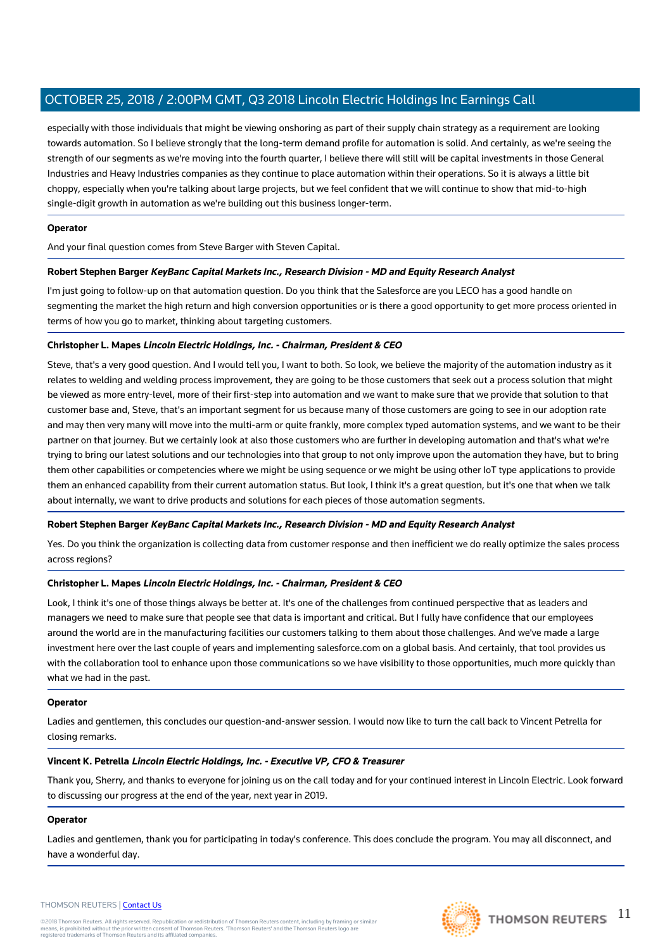especially with those individuals that might be viewing onshoring as part of their supply chain strategy as a requirement are looking towards automation. So I believe strongly that the long-term demand profile for automation is solid. And certainly, as we're seeing the strength of our segments as we're moving into the fourth quarter, I believe there will still will be capital investments in those General Industries and Heavy Industries companies as they continue to place automation within their operations. So it is always a little bit choppy, especially when you're talking about large projects, but we feel confident that we will continue to show that mid-to-high single-digit growth in automation as we're building out this business longer-term.

## **Operator**

And your final question comes from Steve Barger with Steven Capital.

## **Robert Stephen Barger KeyBanc Capital Markets Inc., Research Division - MD and Equity Research Analyst**

I'm just going to follow-up on that automation question. Do you think that the Salesforce are you LECO has a good handle on segmenting the market the high return and high conversion opportunities or is there a good opportunity to get more process oriented in terms of how you go to market, thinking about targeting customers.

## **Christopher L. Mapes Lincoln Electric Holdings, Inc. - Chairman, President & CEO**

Steve, that's a very good question. And I would tell you, I want to both. So look, we believe the majority of the automation industry as it relates to welding and welding process improvement, they are going to be those customers that seek out a process solution that might be viewed as more entry-level, more of their first-step into automation and we want to make sure that we provide that solution to that customer base and, Steve, that's an important segment for us because many of those customers are going to see in our adoption rate and may then very many will move into the multi-arm or quite frankly, more complex typed automation systems, and we want to be their partner on that journey. But we certainly look at also those customers who are further in developing automation and that's what we're trying to bring our latest solutions and our technologies into that group to not only improve upon the automation they have, but to bring them other capabilities or competencies where we might be using sequence or we might be using other IoT type applications to provide them an enhanced capability from their current automation status. But look, I think it's a great question, but it's one that when we talk about internally, we want to drive products and solutions for each pieces of those automation segments.

## **Robert Stephen Barger KeyBanc Capital Markets Inc., Research Division - MD and Equity Research Analyst**

Yes. Do you think the organization is collecting data from customer response and then inefficient we do really optimize the sales process across regions?

## **Christopher L. Mapes Lincoln Electric Holdings, Inc. - Chairman, President & CEO**

Look, I think it's one of those things always be better at. It's one of the challenges from continued perspective that as leaders and managers we need to make sure that people see that data is important and critical. But I fully have confidence that our employees around the world are in the manufacturing facilities our customers talking to them about those challenges. And we've made a large investment here over the last couple of years and implementing salesforce.com on a global basis. And certainly, that tool provides us with the collaboration tool to enhance upon those communications so we have visibility to those opportunities, much more quickly than what we had in the past.

## **Operator**

Ladies and gentlemen, this concludes our question-and-answer session. I would now like to turn the call back to Vincent Petrella for closing remarks.

## **Vincent K. Petrella Lincoln Electric Holdings, Inc. - Executive VP, CFO & Treasurer**

Thank you, Sherry, and thanks to everyone for joining us on the call today and for your continued interest in Lincoln Electric. Look forward to discussing our progress at the end of the year, next year in 2019.

## **Operator**

Ladies and gentlemen, thank you for participating in today's conference. This does conclude the program. You may all disconnect, and have a wonderful day.